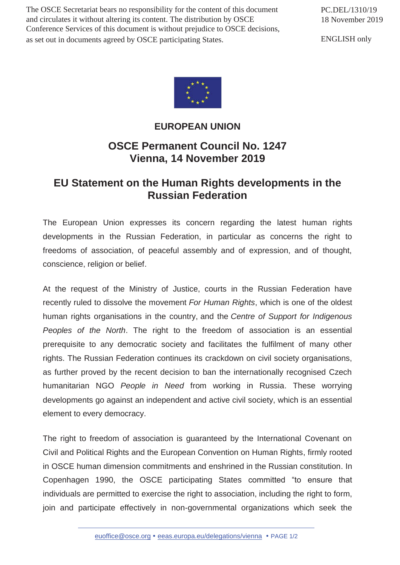The OSCE Secretariat bears no responsibility for the content of this document and circulates it without altering its content. The distribution by OSCE Conference Services of this document is without prejudice to OSCE decisions, as set out in documents agreed by OSCE participating States.

PC.DEL/1310/19 18 November 2019

ENGLISH only



## **EUROPEAN UNION**

## **OSCE Permanent Council No. 1247 Vienna, 14 November 2019**

## **EU Statement on the Human Rights developments in the Russian Federation**

The European Union expresses its concern regarding the latest human rights developments in the Russian Federation, in particular as concerns the right to freedoms of association, of peaceful assembly and of expression, and of thought, conscience, religion or belief.

At the request of the Ministry of Justice, courts in the Russian Federation have recently ruled to dissolve the movement *For Human Rights*, which is one of the oldest human rights organisations in the country, and the *Centre of Support for Indigenous Peoples of the North*. The right to the freedom of association is an essential prerequisite to any democratic society and facilitates the fulfilment of many other rights. The Russian Federation continues its crackdown on civil society organisations, as further proved by the recent decision to ban the internationally recognised Czech humanitarian NGO *People in Need* from working in Russia. These worrying developments go against an independent and active civil society, which is an essential element to every democracy.

The right to freedom of association is guaranteed by the International Covenant on Civil and Political Rights and the European Convention on Human Rights, firmly rooted in OSCE human dimension commitments and enshrined in the Russian constitution. In Copenhagen 1990, the OSCE participating States committed "to ensure that individuals are permitted to exercise the right to association, including the right to form, join and participate effectively in non-governmental organizations which seek the